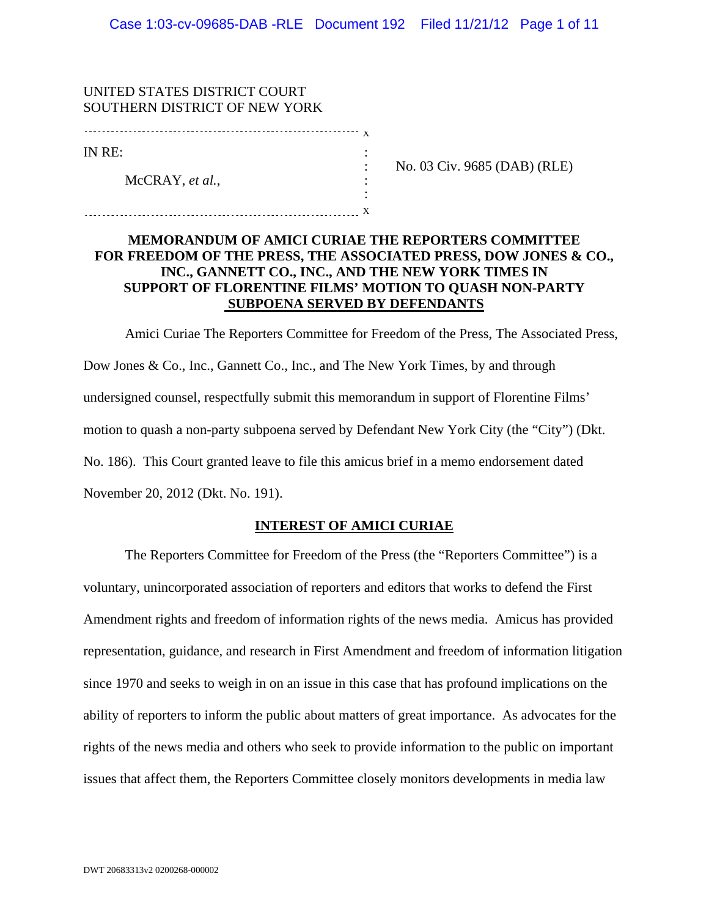| UNITED STATES DISTRICT COURT<br>SOUTHERN DISTRICT OF NEW YORK |   |                              |
|---------------------------------------------------------------|---|------------------------------|
|                                                               | х |                              |
| IN RE:                                                        |   |                              |
| McCRAY, et al.,                                               |   | No. 03 Civ. 9685 (DAB) (RLE) |
|                                                               |   |                              |
|                                                               |   |                              |

# **MEMORANDUM OF AMICI CURIAE THE REPORTERS COMMITTEE FOR FREEDOM OF THE PRESS, THE ASSOCIATED PRESS, DOW JONES & CO., INC., GANNETT CO., INC., AND THE NEW YORK TIMES IN SUPPORT OF FLORENTINE FILMS' MOTION TO QUASH NON-PARTY SUBPOENA SERVED BY DEFENDANTS**

Amici Curiae The Reporters Committee for Freedom of the Press, The Associated Press, Dow Jones & Co., Inc., Gannett Co., Inc., and The New York Times, by and through undersigned counsel, respectfully submit this memorandum in support of Florentine Films' motion to quash a non-party subpoena served by Defendant New York City (the "City") (Dkt. No. 186). This Court granted leave to file this amicus brief in a memo endorsement dated November 20, 2012 (Dkt. No. 191).

## **INTEREST OF AMICI CURIAE**

The Reporters Committee for Freedom of the Press (the "Reporters Committee") is a voluntary, unincorporated association of reporters and editors that works to defend the First Amendment rights and freedom of information rights of the news media. Amicus has provided representation, guidance, and research in First Amendment and freedom of information litigation since 1970 and seeks to weigh in on an issue in this case that has profound implications on the ability of reporters to inform the public about matters of great importance. As advocates for the rights of the news media and others who seek to provide information to the public on important issues that affect them, the Reporters Committee closely monitors developments in media law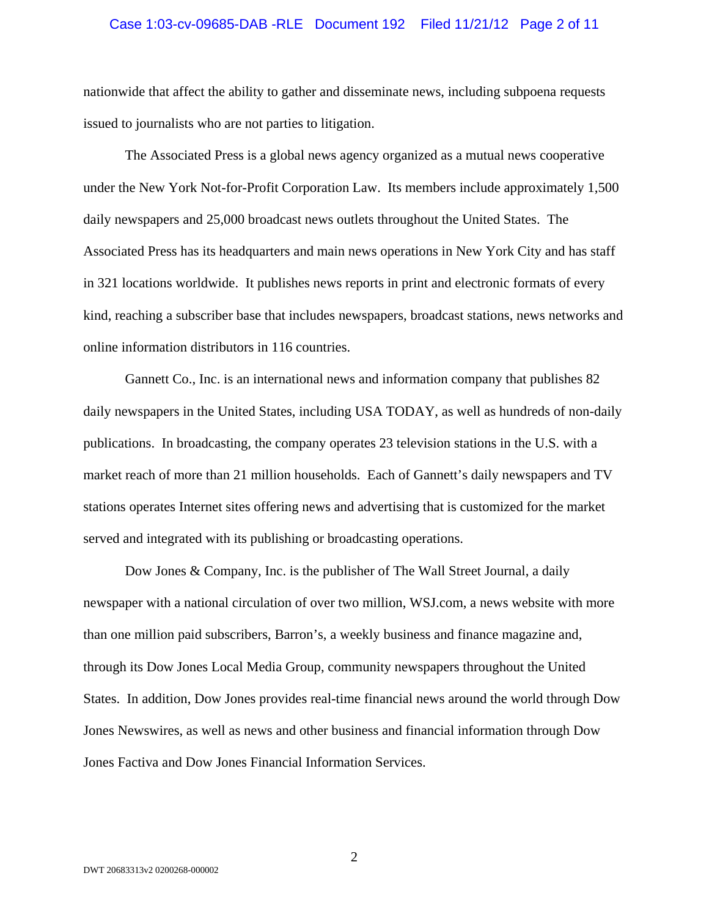#### Case 1:03-cv-09685-DAB -RLE Document 192 Filed 11/21/12 Page 2 of 11

nationwide that affect the ability to gather and disseminate news, including subpoena requests issued to journalists who are not parties to litigation.

The Associated Press is a global news agency organized as a mutual news cooperative under the New York Not-for-Profit Corporation Law. Its members include approximately 1,500 daily newspapers and 25,000 broadcast news outlets throughout the United States. The Associated Press has its headquarters and main news operations in New York City and has staff in 321 locations worldwide. It publishes news reports in print and electronic formats of every kind, reaching a subscriber base that includes newspapers, broadcast stations, news networks and online information distributors in 116 countries.

Gannett Co., Inc. is an international news and information company that publishes 82 daily newspapers in the United States, including USA TODAY, as well as hundreds of non-daily publications. In broadcasting, the company operates 23 television stations in the U.S. with a market reach of more than 21 million households. Each of Gannett's daily newspapers and TV stations operates Internet sites offering news and advertising that is customized for the market served and integrated with its publishing or broadcasting operations.

Dow Jones & Company, Inc. is the publisher of The Wall Street Journal, a daily newspaper with a national circulation of over two million, WSJ.com, a news website with more than one million paid subscribers, Barron's, a weekly business and finance magazine and, through its Dow Jones Local Media Group, community newspapers throughout the United States. In addition, Dow Jones provides real-time financial news around the world through Dow Jones Newswires, as well as news and other business and financial information through Dow Jones Factiva and Dow Jones Financial Information Services.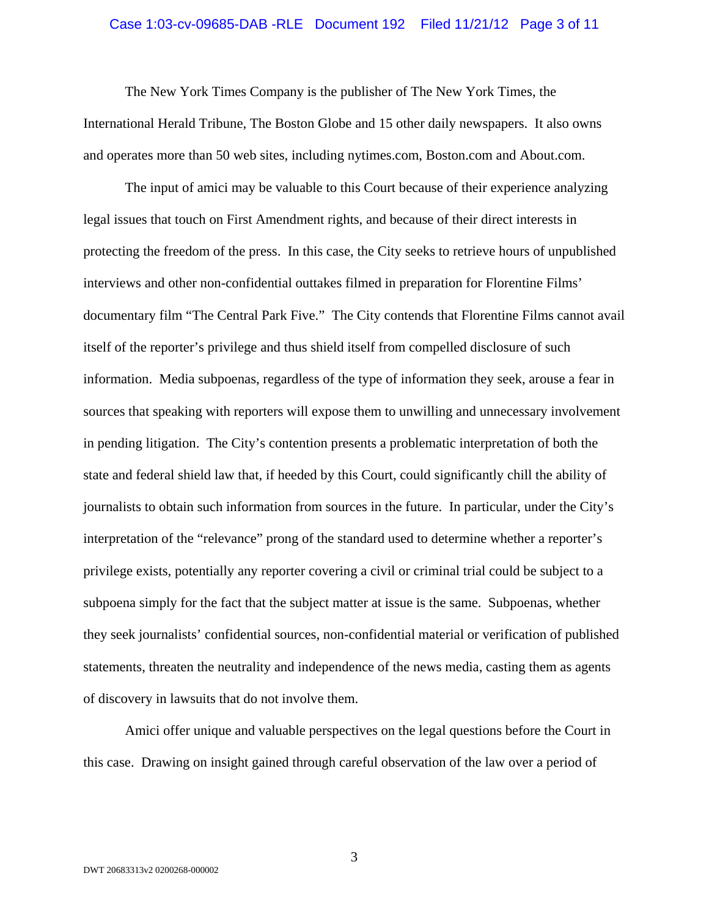#### Case 1:03-cv-09685-DAB -RLE Document 192 Filed 11/21/12 Page 3 of 11

The New York Times Company is the publisher of The New York Times, the International Herald Tribune, The Boston Globe and 15 other daily newspapers. It also owns and operates more than 50 web sites, including nytimes.com, Boston.com and About.com.

The input of amici may be valuable to this Court because of their experience analyzing legal issues that touch on First Amendment rights, and because of their direct interests in protecting the freedom of the press. In this case, the City seeks to retrieve hours of unpublished interviews and other non-confidential outtakes filmed in preparation for Florentine Films' documentary film "The Central Park Five." The City contends that Florentine Films cannot avail itself of the reporter's privilege and thus shield itself from compelled disclosure of such information. Media subpoenas, regardless of the type of information they seek, arouse a fear in sources that speaking with reporters will expose them to unwilling and unnecessary involvement in pending litigation. The City's contention presents a problematic interpretation of both the state and federal shield law that, if heeded by this Court, could significantly chill the ability of journalists to obtain such information from sources in the future. In particular, under the City's interpretation of the "relevance" prong of the standard used to determine whether a reporter's privilege exists, potentially any reporter covering a civil or criminal trial could be subject to a subpoena simply for the fact that the subject matter at issue is the same. Subpoenas, whether they seek journalists' confidential sources, non-confidential material or verification of published statements, threaten the neutrality and independence of the news media, casting them as agents of discovery in lawsuits that do not involve them.

Amici offer unique and valuable perspectives on the legal questions before the Court in this case. Drawing on insight gained through careful observation of the law over a period of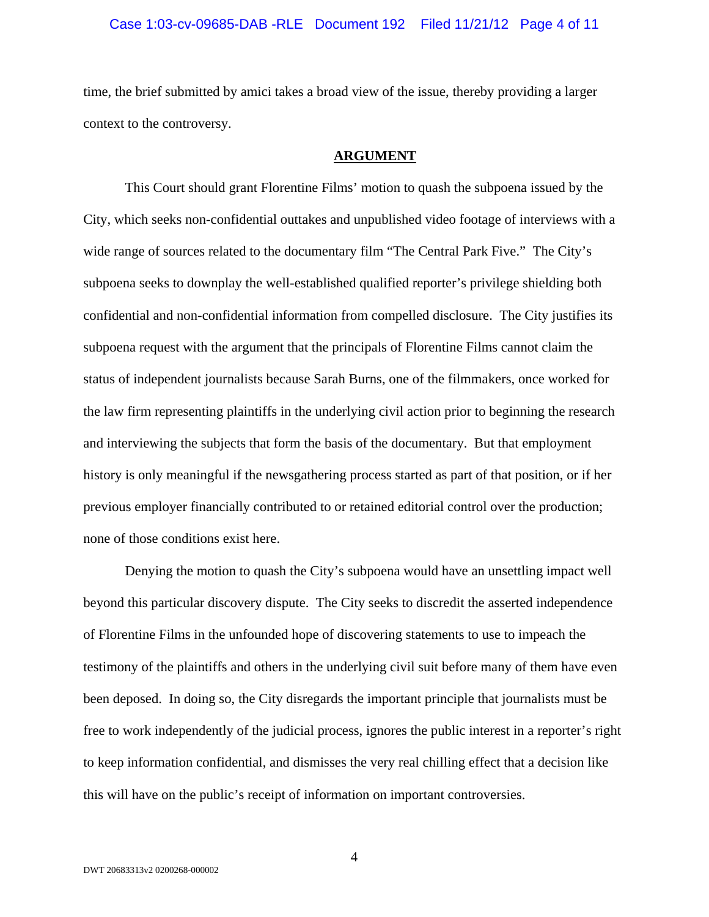#### Case 1:03-cv-09685-DAB -RLE Document 192 Filed 11/21/12 Page 4 of 11

time, the brief submitted by amici takes a broad view of the issue, thereby providing a larger context to the controversy.

#### **ARGUMENT**

This Court should grant Florentine Films' motion to quash the subpoena issued by the City, which seeks non-confidential outtakes and unpublished video footage of interviews with a wide range of sources related to the documentary film "The Central Park Five." The City's subpoena seeks to downplay the well-established qualified reporter's privilege shielding both confidential and non-confidential information from compelled disclosure. The City justifies its subpoena request with the argument that the principals of Florentine Films cannot claim the status of independent journalists because Sarah Burns, one of the filmmakers, once worked for the law firm representing plaintiffs in the underlying civil action prior to beginning the research and interviewing the subjects that form the basis of the documentary. But that employment history is only meaningful if the newsgathering process started as part of that position, or if her previous employer financially contributed to or retained editorial control over the production; none of those conditions exist here.

Denying the motion to quash the City's subpoena would have an unsettling impact well beyond this particular discovery dispute. The City seeks to discredit the asserted independence of Florentine Films in the unfounded hope of discovering statements to use to impeach the testimony of the plaintiffs and others in the underlying civil suit before many of them have even been deposed. In doing so, the City disregards the important principle that journalists must be free to work independently of the judicial process, ignores the public interest in a reporter's right to keep information confidential, and dismisses the very real chilling effect that a decision like this will have on the public's receipt of information on important controversies.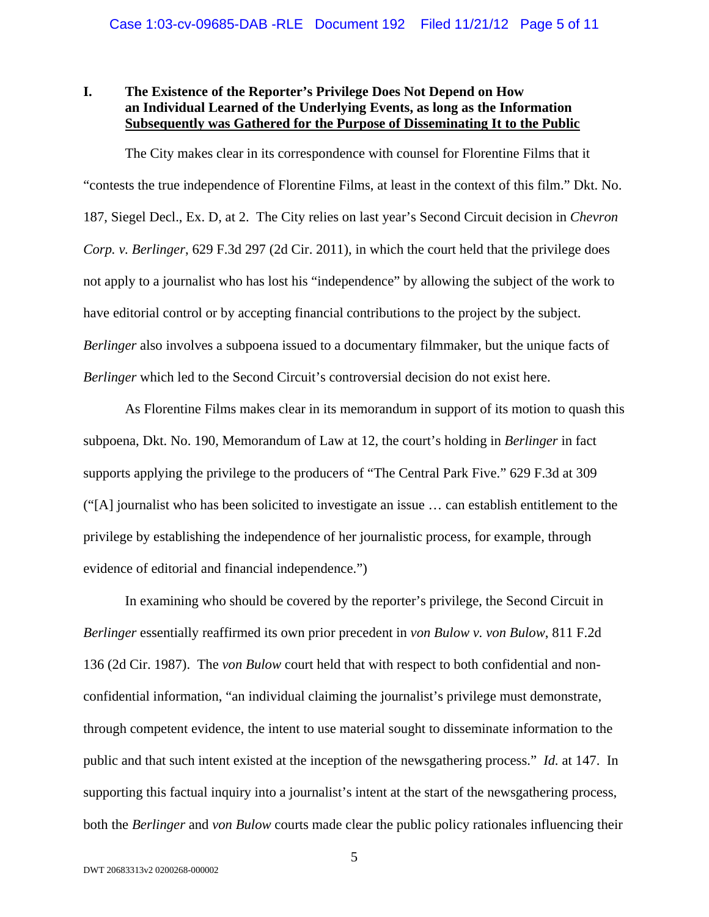# **I. The Existence of the Reporter's Privilege Does Not Depend on How an Individual Learned of the Underlying Events, as long as the Information Subsequently was Gathered for the Purpose of Disseminating It to the Public**

The City makes clear in its correspondence with counsel for Florentine Films that it "contests the true independence of Florentine Films, at least in the context of this film." Dkt. No. 187, Siegel Decl., Ex. D, at 2. The City relies on last year's Second Circuit decision in *Chevron Corp. v. Berlinger*, 629 F.3d 297 (2d Cir. 2011), in which the court held that the privilege does not apply to a journalist who has lost his "independence" by allowing the subject of the work to have editorial control or by accepting financial contributions to the project by the subject. *Berlinger* also involves a subpoena issued to a documentary filmmaker, but the unique facts of *Berlinger* which led to the Second Circuit's controversial decision do not exist here.

As Florentine Films makes clear in its memorandum in support of its motion to quash this subpoena, Dkt. No. 190, Memorandum of Law at 12, the court's holding in *Berlinger* in fact supports applying the privilege to the producers of "The Central Park Five." 629 F.3d at 309 ("[A] journalist who has been solicited to investigate an issue … can establish entitlement to the privilege by establishing the independence of her journalistic process, for example, through evidence of editorial and financial independence.")

In examining who should be covered by the reporter's privilege, the Second Circuit in *Berlinger* essentially reaffirmed its own prior precedent in *von Bulow v. von Bulow*, 811 F.2d 136 (2d Cir. 1987). The *von Bulow* court held that with respect to both confidential and nonconfidential information, "an individual claiming the journalist's privilege must demonstrate, through competent evidence, the intent to use material sought to disseminate information to the public and that such intent existed at the inception of the newsgathering process." *Id.* at 147. In supporting this factual inquiry into a journalist's intent at the start of the newsgathering process, both the *Berlinger* and *von Bulow* courts made clear the public policy rationales influencing their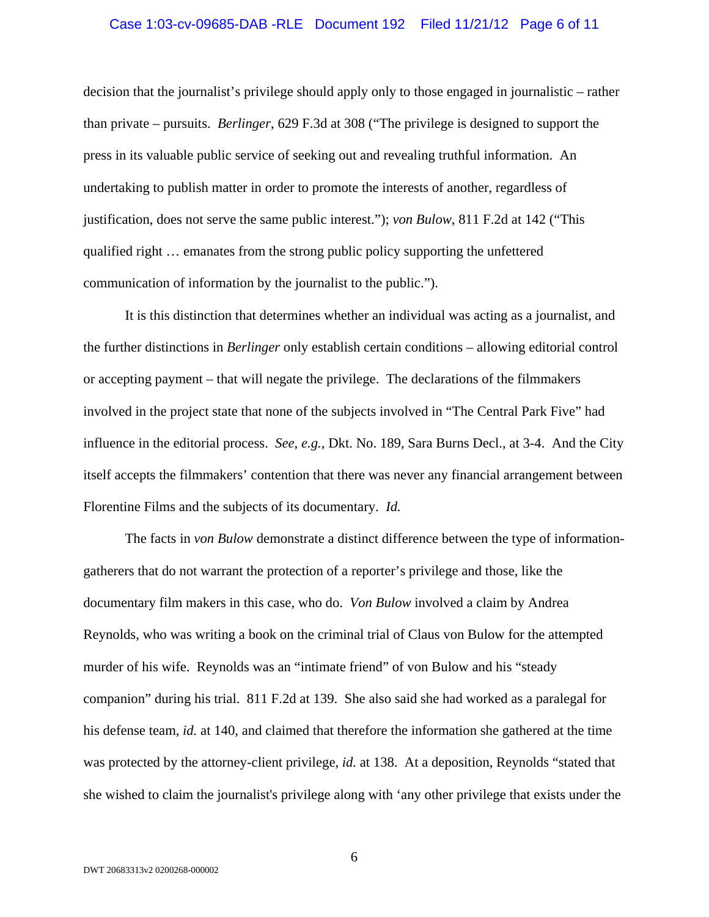#### Case 1:03-cv-09685-DAB -RLE Document 192 Filed 11/21/12 Page 6 of 11

decision that the journalist's privilege should apply only to those engaged in journalistic – rather than private – pursuits. *Berlinger*, 629 F.3d at 308 ("The privilege is designed to support the press in its valuable public service of seeking out and revealing truthful information. An undertaking to publish matter in order to promote the interests of another, regardless of justification, does not serve the same public interest."); *von Bulow*, 811 F.2d at 142 ("This qualified right … emanates from the strong public policy supporting the unfettered communication of information by the journalist to the public.").

It is this distinction that determines whether an individual was acting as a journalist, and the further distinctions in *Berlinger* only establish certain conditions – allowing editorial control or accepting payment – that will negate the privilege. The declarations of the filmmakers involved in the project state that none of the subjects involved in "The Central Park Five" had influence in the editorial process. *See*, *e.g.*, Dkt. No. 189, Sara Burns Decl., at 3-4. And the City itself accepts the filmmakers' contention that there was never any financial arrangement between Florentine Films and the subjects of its documentary. *Id.*

The facts in *von Bulow* demonstrate a distinct difference between the type of informationgatherers that do not warrant the protection of a reporter's privilege and those, like the documentary film makers in this case, who do. *Von Bulow* involved a claim by Andrea Reynolds, who was writing a book on the criminal trial of Claus von Bulow for the attempted murder of his wife. Reynolds was an "intimate friend" of von Bulow and his "steady companion" during his trial. 811 F.2d at 139. She also said she had worked as a paralegal for his defense team, *id.* at 140, and claimed that therefore the information she gathered at the time was protected by the attorney-client privilege, *id.* at 138. At a deposition, Reynolds "stated that she wished to claim the journalist's privilege along with 'any other privilege that exists under the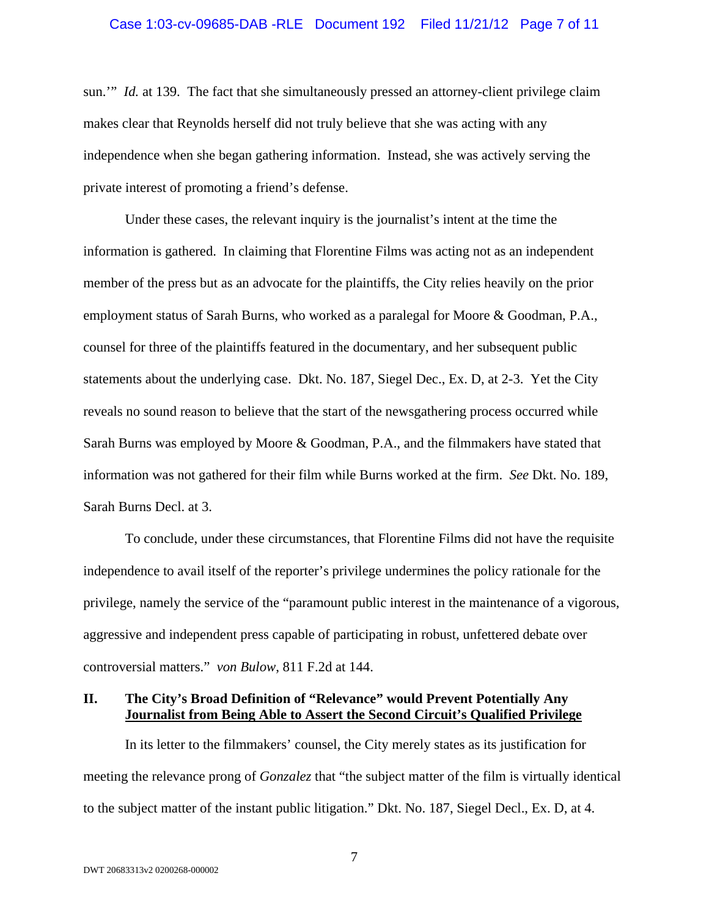#### Case 1:03-cv-09685-DAB -RLE Document 192 Filed 11/21/12 Page 7 of 11

sun.'" *Id.* at 139. The fact that she simultaneously pressed an attorney-client privilege claim makes clear that Reynolds herself did not truly believe that she was acting with any independence when she began gathering information. Instead, she was actively serving the private interest of promoting a friend's defense.

Under these cases, the relevant inquiry is the journalist's intent at the time the information is gathered. In claiming that Florentine Films was acting not as an independent member of the press but as an advocate for the plaintiffs, the City relies heavily on the prior employment status of Sarah Burns, who worked as a paralegal for Moore & Goodman, P.A., counsel for three of the plaintiffs featured in the documentary, and her subsequent public statements about the underlying case. Dkt. No. 187, Siegel Dec., Ex. D, at 2-3. Yet the City reveals no sound reason to believe that the start of the newsgathering process occurred while Sarah Burns was employed by Moore & Goodman, P.A., and the filmmakers have stated that information was not gathered for their film while Burns worked at the firm. *See* Dkt. No. 189, Sarah Burns Decl. at 3.

To conclude, under these circumstances, that Florentine Films did not have the requisite independence to avail itself of the reporter's privilege undermines the policy rationale for the privilege, namely the service of the "paramount public interest in the maintenance of a vigorous, aggressive and independent press capable of participating in robust, unfettered debate over controversial matters." *von Bulow*, 811 F.2d at 144.

### **II. The City's Broad Definition of "Relevance" would Prevent Potentially Any Journalist from Being Able to Assert the Second Circuit's Qualified Privilege**

In its letter to the filmmakers' counsel, the City merely states as its justification for meeting the relevance prong of *Gonzalez* that "the subject matter of the film is virtually identical to the subject matter of the instant public litigation." Dkt. No. 187, Siegel Decl., Ex. D, at 4.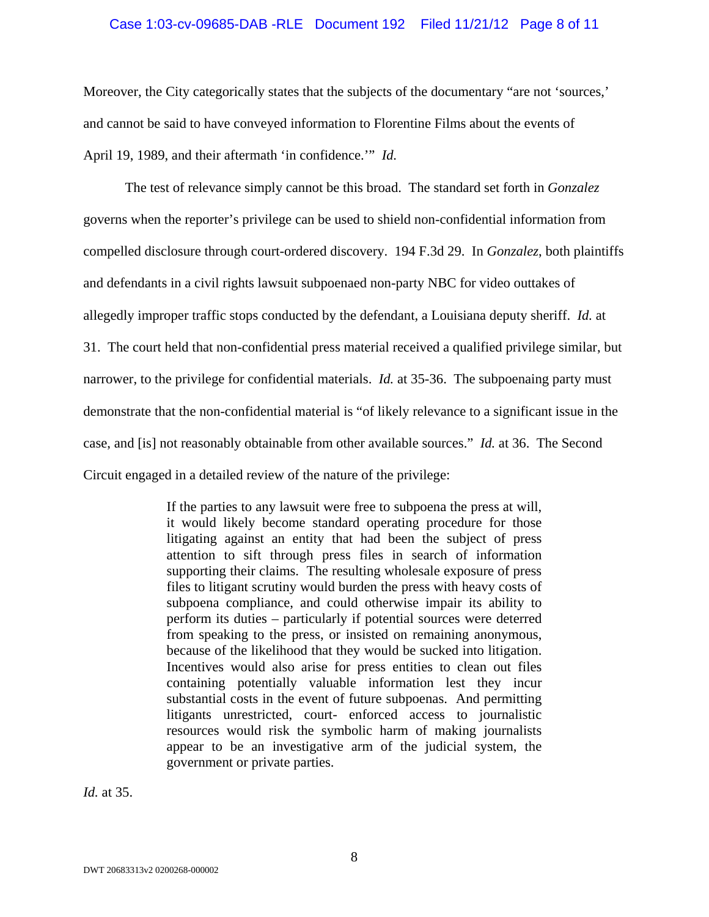### Case 1:03-cv-09685-DAB -RLE Document 192 Filed 11/21/12 Page 8 of 11

Moreover, the City categorically states that the subjects of the documentary "are not 'sources,' and cannot be said to have conveyed information to Florentine Films about the events of April 19, 1989, and their aftermath 'in confidence.'" *Id.*

The test of relevance simply cannot be this broad. The standard set forth in *Gonzalez* governs when the reporter's privilege can be used to shield non-confidential information from compelled disclosure through court-ordered discovery. 194 F.3d 29. In *Gonzalez*, both plaintiffs and defendants in a civil rights lawsuit subpoenaed non-party NBC for video outtakes of allegedly improper traffic stops conducted by the defendant, a Louisiana deputy sheriff. *Id.* at 31. The court held that non-confidential press material received a qualified privilege similar, but narrower, to the privilege for confidential materials. *Id.* at 35-36. The subpoenaing party must demonstrate that the non-confidential material is "of likely relevance to a significant issue in the case, and [is] not reasonably obtainable from other available sources." *Id.* at 36. The Second Circuit engaged in a detailed review of the nature of the privilege:

> If the parties to any lawsuit were free to subpoena the press at will, it would likely become standard operating procedure for those litigating against an entity that had been the subject of press attention to sift through press files in search of information supporting their claims. The resulting wholesale exposure of press files to litigant scrutiny would burden the press with heavy costs of subpoena compliance, and could otherwise impair its ability to perform its duties – particularly if potential sources were deterred from speaking to the press, or insisted on remaining anonymous, because of the likelihood that they would be sucked into litigation. Incentives would also arise for press entities to clean out files containing potentially valuable information lest they incur substantial costs in the event of future subpoenas. And permitting litigants unrestricted, court- enforced access to journalistic resources would risk the symbolic harm of making journalists appear to be an investigative arm of the judicial system, the government or private parties.

*Id.* at 35.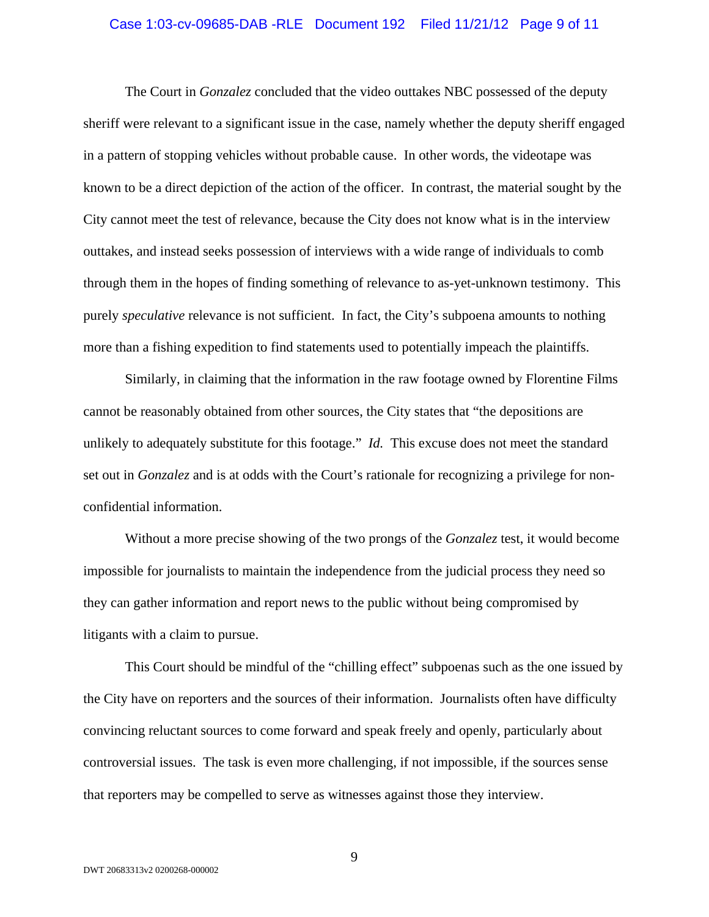#### Case 1:03-cv-09685-DAB -RLE Document 192 Filed 11/21/12 Page 9 of 11

The Court in *Gonzalez* concluded that the video outtakes NBC possessed of the deputy sheriff were relevant to a significant issue in the case, namely whether the deputy sheriff engaged in a pattern of stopping vehicles without probable cause. In other words, the videotape was known to be a direct depiction of the action of the officer. In contrast, the material sought by the City cannot meet the test of relevance, because the City does not know what is in the interview outtakes, and instead seeks possession of interviews with a wide range of individuals to comb through them in the hopes of finding something of relevance to as-yet-unknown testimony. This purely *speculative* relevance is not sufficient. In fact, the City's subpoena amounts to nothing more than a fishing expedition to find statements used to potentially impeach the plaintiffs.

Similarly, in claiming that the information in the raw footage owned by Florentine Films cannot be reasonably obtained from other sources, the City states that "the depositions are unlikely to adequately substitute for this footage." *Id.* This excuse does not meet the standard set out in *Gonzalez* and is at odds with the Court's rationale for recognizing a privilege for nonconfidential information.

Without a more precise showing of the two prongs of the *Gonzalez* test, it would become impossible for journalists to maintain the independence from the judicial process they need so they can gather information and report news to the public without being compromised by litigants with a claim to pursue.

This Court should be mindful of the "chilling effect" subpoenas such as the one issued by the City have on reporters and the sources of their information. Journalists often have difficulty convincing reluctant sources to come forward and speak freely and openly, particularly about controversial issues. The task is even more challenging, if not impossible, if the sources sense that reporters may be compelled to serve as witnesses against those they interview.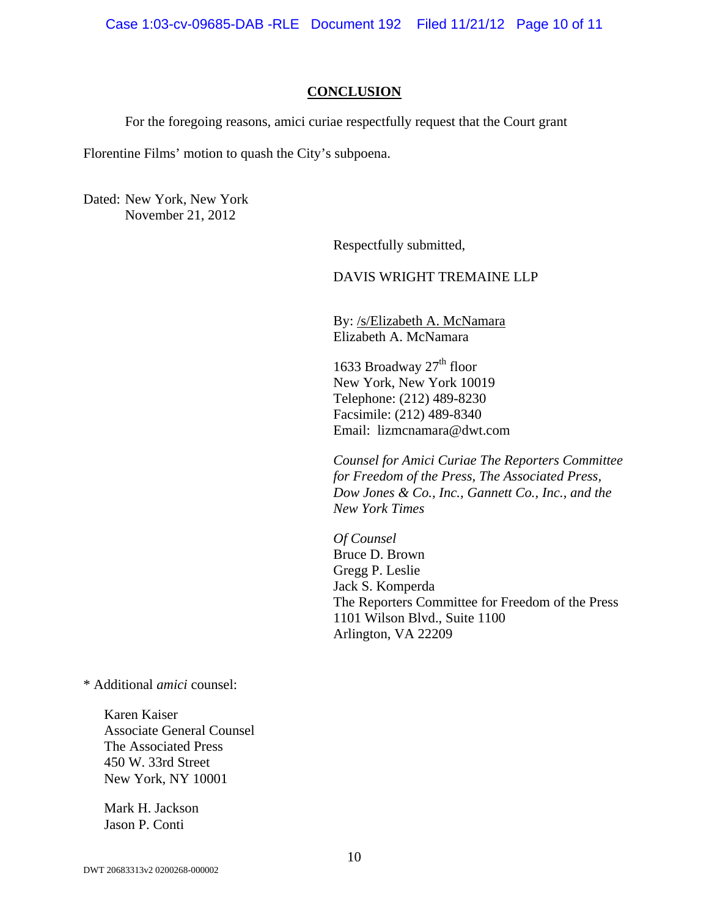Case 1:03-cv-09685-DAB -RLE Document 192 Filed 11/21/12 Page 10 of 11

#### **CONCLUSION**

For the foregoing reasons, amici curiae respectfully request that the Court grant

Florentine Films' motion to quash the City's subpoena.

Dated: New York, New York November 21, 2012

Respectfully submitted,

## DAVIS WRIGHT TREMAINE LLP

By: /s/Elizabeth A. McNamara Elizabeth A. McNamara

1633 Broadway  $27<sup>th</sup>$  floor New York, New York 10019 Telephone: (212) 489-8230 Facsimile: (212) 489-8340 Email: lizmcnamara@dwt.com

*Counsel for Amici Curiae The Reporters Committee for Freedom of the Press, The Associated Press, Dow Jones & Co., Inc., Gannett Co., Inc., and the New York Times* 

*Of Counsel*  Bruce D. Brown Gregg P. Leslie Jack S. Komperda The Reporters Committee for Freedom of the Press 1101 Wilson Blvd., Suite 1100 Arlington, VA 22209

\* Additional *amici* counsel:

Karen Kaiser Associate General Counsel The Associated Press 450 W. 33rd Street New York, NY 10001

Mark H. Jackson Jason P. Conti